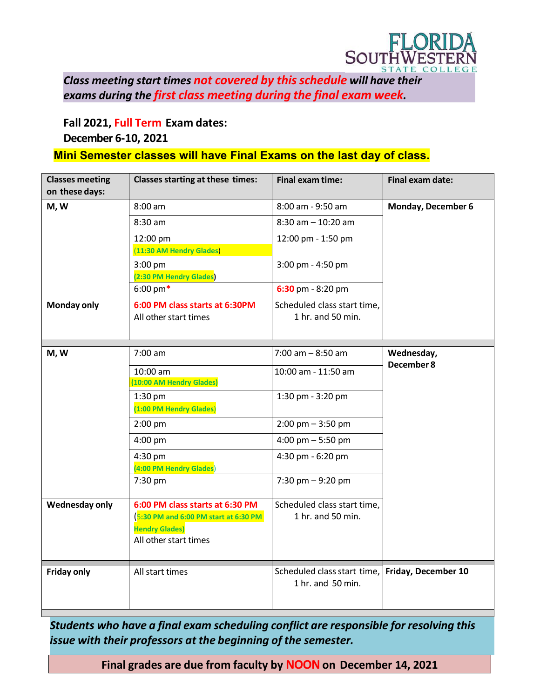

*Class meeting start times not covered by this schedule will have their exams during the first class meeting during the final exam week.*

**Fall 2021, Full Term Exam dates:**

## **December 6-10, 2021**

## **Mini Semester classes will have Final Exams on the last day of class.**

| <b>Classes meeting</b><br>on these days: | <b>Classes starting at these times:</b>                 | <b>Final exam time:</b>                                              | <b>Final exam date:</b> |
|------------------------------------------|---------------------------------------------------------|----------------------------------------------------------------------|-------------------------|
| M, W                                     | 8:00 am                                                 | 8:00 am - 9:50 am                                                    | Monday, December 6      |
|                                          | $8:30$ am                                               | $8:30$ am $-10:20$ am                                                |                         |
|                                          | 12:00 pm                                                | 12:00 pm - 1:50 pm                                                   |                         |
|                                          | (11:30 AM Hendry Glades)                                |                                                                      |                         |
|                                          | 3:00 pm                                                 | 3:00 pm - 4:50 pm                                                    |                         |
|                                          | (2:30 PM Hendry Glades)<br>$6:00 \text{ pm*}$           | $6:30$ pm - 8:20 pm                                                  |                         |
|                                          |                                                         |                                                                      |                         |
| <b>Monday only</b>                       | 6:00 PM class starts at 6:30PM<br>All other start times | Scheduled class start time,<br>1 hr. and 50 min.                     |                         |
|                                          |                                                         |                                                                      |                         |
|                                          |                                                         |                                                                      |                         |
| M, W                                     | 7:00 am                                                 | $7:00$ am $-8:50$ am                                                 | Wednesday,              |
|                                          | 10:00 am                                                | 10:00 am - 11:50 am                                                  | December 8              |
|                                          | (10:00 AM Hendry Glades)                                |                                                                      |                         |
|                                          | $1:30$ pm                                               | 1:30 pm - 3:20 pm                                                    |                         |
|                                          | (1:00 PM Hendry Glades)                                 |                                                                      |                         |
|                                          | $2:00$ pm                                               | $2:00 \text{ pm} - 3:50 \text{ pm}$                                  |                         |
|                                          | $4:00$ pm                                               | 4:00 pm $-$ 5:50 pm                                                  |                         |
|                                          | 4:30 pm                                                 | 4:30 pm - 6:20 pm                                                    |                         |
|                                          | (4:00 PM Hendry Glades)                                 |                                                                      |                         |
|                                          | 7:30 pm                                                 | 7:30 pm $-9:20$ pm                                                   |                         |
| Wednesday only                           | 6:00 PM class starts at 6:30 PM                         | Scheduled class start time,                                          |                         |
|                                          | 5:30 PM and 6:00 PM start at 6:30 PM                    | 1 hr. and 50 min.                                                    |                         |
|                                          | <b>Hendry Glades)</b>                                   |                                                                      |                         |
|                                          | All other start times                                   |                                                                      |                         |
|                                          |                                                         |                                                                      |                         |
| <b>Friday only</b>                       | All start times                                         | Scheduled class start time, Friday, December 10<br>1 hr. and 50 min. |                         |
|                                          |                                                         |                                                                      |                         |
|                                          |                                                         |                                                                      |                         |

*Students who have a final exam scheduling conflict are responsible for resolving this issue with their professors at the beginning of the semester.*

**Final grades are due from faculty by NOON on December 14, 2021**